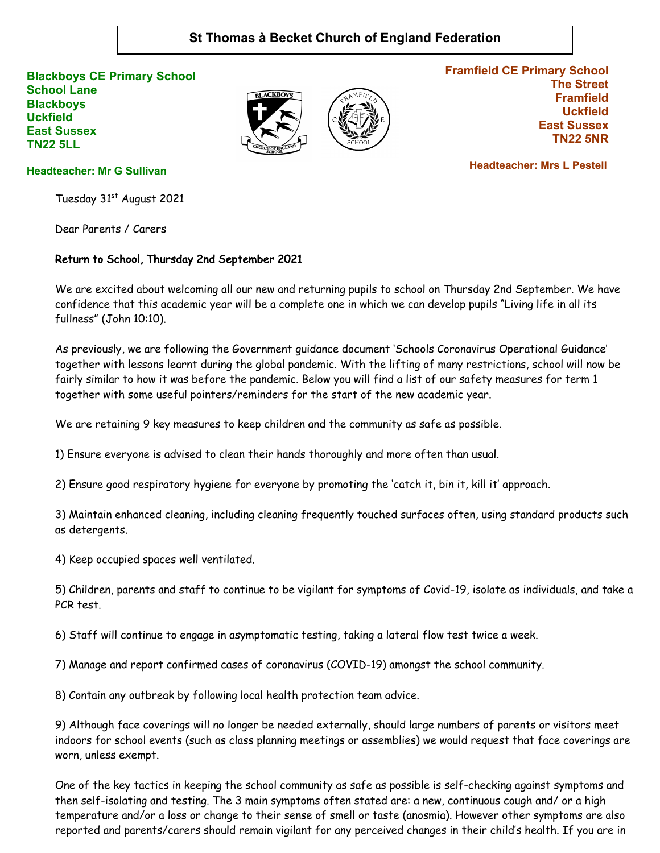## **St Thomas à Becket Church of England Federation**

**Blackboys CE Primary School School Lane Blackboys Uckfield East Sussex TN22 5LL**





**Framfield CE Primary School The Street Framfield Uckfield East Sussex TN22 5NR**

**Headteacher: Mr G Sullivan**

Tuesday 31st August 2021

Dear Parents / Carers

## Return to School, Thursday 2nd September 2021

We are excited about welcoming all our new and returning pupils to school on Thursday 2nd September. We have confidence that this academic year will be a complete one in which we can develop pupils "Living life in all its fullness" (John 10:10).

As previously, we are following the Government guidance document 'Schools Coronavirus Operational Guidance' together with lessons learnt during the global pandemic. With the lifting of many restrictions, school will now be fairly similar to how it was before the pandemic. Below you will find a list of our safety measures for term 1 together with some useful pointers/reminders for the start of the new academic year.

We are retaining 9 key measures to keep children and the community as safe as possible.

1) Ensure everyone is advised to clean their hands thoroughly and more often than usual.

2) Ensure good respiratory hygiene for everyone by promoting the 'catch it, bin it, kill it' approach.

3) Maintain enhanced cleaning, including cleaning frequently touched surfaces often, using standard products such as detergents.

4) Keep occupied spaces well ventilated.

5) Children, parents and staff to continue to be vigilant for symptoms of Covid-19, isolate as individuals, and take a PCR test.

6) Staff will continue to engage in asymptomatic testing, taking a lateral flow test twice a week.

7) Manage and report confirmed cases of coronavirus (COVID-19) amongst the school community.

8) Contain any outbreak by following local health protection team advice.

9) Although face coverings will no longer be needed externally, should large numbers of parents or visitors meet indoors for school events (such as class planning meetings or assemblies) we would request that face coverings are worn, unless exempt.

One of the key tactics in keeping the school community as safe as possible is self-checking against symptoms and then self-isolating and testing. The 3 main symptoms often stated are: a new, continuous cough and/ or a high temperature and/or a loss or change to their sense of smell or taste (anosmia). However other symptoms are also reported and parents/carers should remain vigilant for any perceived changes in their child's health. If you are in

 **Headteacher: Mrs L Pestell**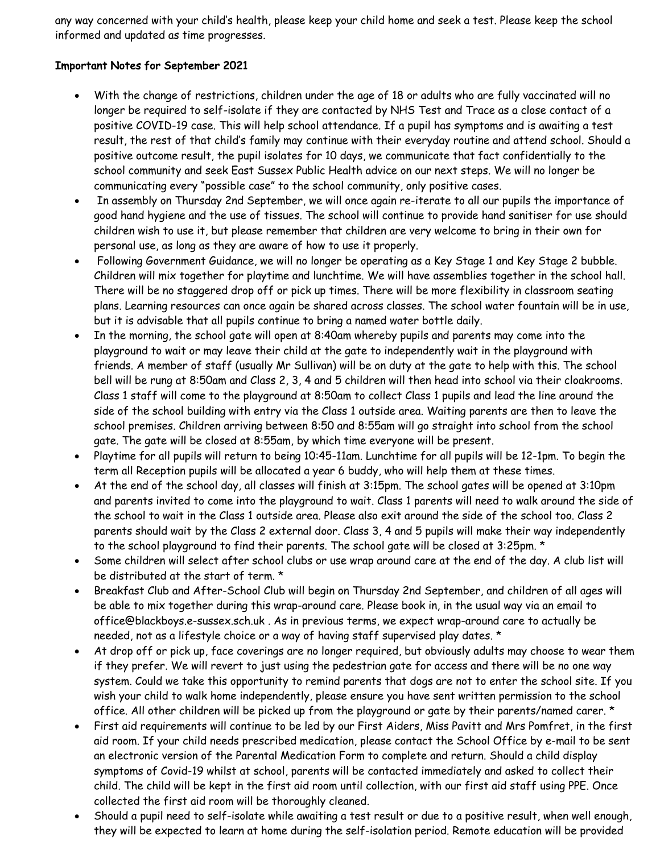any way concerned with your child's health, please keep your child home and seek a test. Please keep the school informed and updated as time progresses.

## Important Notes for September 2021

- With the change of restrictions, children under the age of 18 or adults who are fully vaccinated will no longer be required to self-isolate if they are contacted by NHS Test and Trace as a close contact of a positive COVID-19 case. This will help school attendance. If a pupil has symptoms and is awaiting a test result, the rest of that child's family may continue with their everyday routine and attend school. Should a positive outcome result, the pupil isolates for 10 days, we communicate that fact confidentially to the school community and seek East Sussex Public Health advice on our next steps. We will no longer be communicating every "possible case" to the school community, only positive cases.
- In assembly on Thursday 2nd September, we will once again re-iterate to all our pupils the importance of good hand hygiene and the use of tissues. The school will continue to provide hand sanitiser for use should children wish to use it, but please remember that children are very welcome to bring in their own for personal use, as long as they are aware of how to use it properly.
- Following Government Guidance, we will no longer be operating as a Key Stage 1 and Key Stage 2 bubble. Children will mix together for playtime and lunchtime. We will have assemblies together in the school hall. There will be no staggered drop off or pick up times. There will be more flexibility in classroom seating plans. Learning resources can once again be shared across classes. The school water fountain will be in use, but it is advisable that all pupils continue to bring a named water bottle daily.
- In the morning, the school gate will open at 8:40am whereby pupils and parents may come into the playground to wait or may leave their child at the gate to independently wait in the playground with friends. A member of staff (usually Mr Sullivan) will be on duty at the gate to help with this. The school bell will be rung at 8:50am and Class 2, 3, 4 and 5 children will then head into school via their cloakrooms. Class 1 staff will come to the playground at 8:50am to collect Class 1 pupils and lead the line around the side of the school building with entry via the Class 1 outside area. Waiting parents are then to leave the school premises. Children arriving between 8:50 and 8:55am will go straight into school from the school gate. The gate will be closed at 8:55am, by which time everyone will be present.
- Playtime for all pupils will return to being 10:45-11am. Lunchtime for all pupils will be 12-1pm. To begin the term all Reception pupils will be allocated a year 6 buddy, who will help them at these times.
- At the end of the school day, all classes will finish at 3:15pm. The school gates will be opened at 3:10pm and parents invited to come into the playground to wait. Class 1 parents will need to walk around the side of the school to wait in the Class 1 outside area. Please also exit around the side of the school too. Class 2 parents should wait by the Class 2 external door. Class 3, 4 and 5 pupils will make their way independently to the school playground to find their parents. The school gate will be closed at 3:25pm. \*
- Some children will select after school clubs or use wrap around care at the end of the day. A club list will be distributed at the start of term. \*
- Breakfast Club and After-School Club will begin on Thursday 2nd September, and children of all ages will be able to mix together during this wrap-around care. Please book in, in the usual way via an email to office@blackboys.e-sussex.sch.uk . As in previous terms, we expect wrap-around care to actually be needed, not as a lifestyle choice or a way of having staff supervised play dates. \*
- At drop off or pick up, face coverings are no longer required, but obviously adults may choose to wear them if they prefer. We will revert to just using the pedestrian gate for access and there will be no one way system. Could we take this opportunity to remind parents that dogs are not to enter the school site. If you wish your child to walk home independently, please ensure you have sent written permission to the school office. All other children will be picked up from the playground or gate by their parents/named carer. \*
- First aid requirements will continue to be led by our First Aiders, Miss Pavitt and Mrs Pomfret, in the first aid room. If your child needs prescribed medication, please contact the School Office by e-mail to be sent an electronic version of the Parental Medication Form to complete and return. Should a child display symptoms of Covid-19 whilst at school, parents will be contacted immediately and asked to collect their child. The child will be kept in the first aid room until collection, with our first aid staff using PPE. Once collected the first aid room will be thoroughly cleaned.
- Should a pupil need to self-isolate while awaiting a test result or due to a positive result, when well enough, they will be expected to learn at home during the self-isolation period. Remote education will be provided